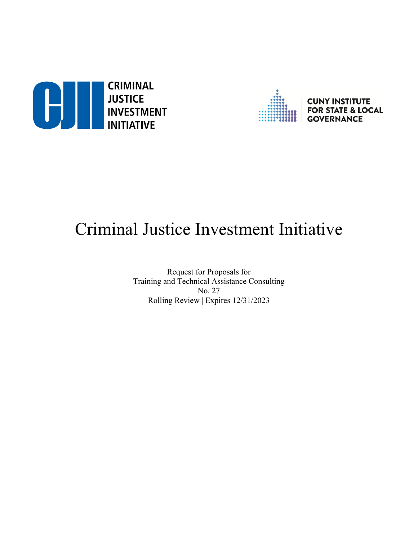



# Criminal Justice Investment Initiative

Request for Proposals for Training and Technical Assistance Consulting No. 27 Rolling Review | Expires 12/31/2023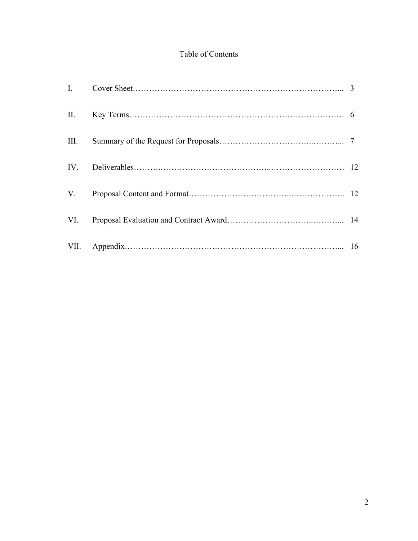# Table of Contents

| III. |  |
|------|--|
|      |  |
|      |  |
|      |  |
|      |  |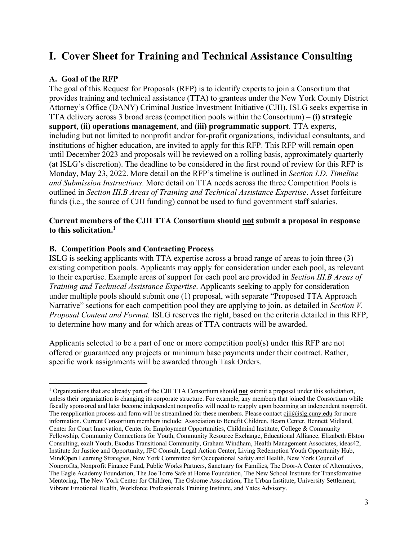# **I. Cover Sheet for Training and Technical Assistance Consulting**

### **A. Goal of the RFP**

The goal of this Request for Proposals (RFP) is to identify experts to join a Consortium that provides training and technical assistance (TTA) to grantees under the New York County District Attorney's Office (DANY) Criminal Justice Investment Initiative (CJII). ISLG seeks expertise in TTA delivery across 3 broad areas (competition pools within the Consortium) – **(i) strategic support**, **(ii) operations management**, and **(iii) programmatic support**. TTA experts, including but not limited to nonprofit and/or for-profit organizations, individual consultants, and institutions of higher education, are invited to apply for this RFP. This RFP will remain open until December 2023 and proposals will be reviewed on a rolling basis, approximately quarterly (at ISLG's discretion). The deadline to be considered in the first round of review for this RFP is Monday, May 23, 2022. More detail on the RFP's timeline is outlined in *Section I.D. Timeline and Submission Instructions*. More detail on TTA needs across the three Competition Pools is outlined in *Section III.B Areas of Training and Technical Assistance Expertise*. Asset forfeiture funds (i.e., the source of CJII funding) cannot be used to fund government staff salaries.

### **Current members of the CJII TTA Consortium should not submit a proposal in response to this solicitation.1**

### **B. Competition Pools and Contracting Process**

ISLG is seeking applicants with TTA expertise across a broad range of areas to join three (3) existing competition pools. Applicants may apply for consideration under each pool, as relevant to their expertise. Example areas of support for each pool are provided in *Section III.B Areas of Training and Technical Assistance Expertise*. Applicants seeking to apply for consideration under multiple pools should submit one (1) proposal, with separate "Proposed TTA Approach Narrative" sections for each competition pool they are applying to join, as detailed in *Section V. Proposal Content and Format.* ISLG reserves the right, based on the criteria detailed in this RFP, to determine how many and for which areas of TTA contracts will be awarded.

Applicants selected to be a part of one or more competition pool(s) under this RFP are not offered or guaranteed any projects or minimum base payments under their contract. Rather, specific work assignments will be awarded through Task Orders.

<sup>1</sup> Organizations that are already part of the CJII TTA Consortium should **not** submit a proposal under this solicitation, unless their organization is changing its corporate structure. For example, any members that joined the Consortium while fiscally sponsored and later become independent nonprofits will need to reapply upon becoming an independent nonprofit. The reapplication process and form will be streamlined for these members. Please contact cjii@islg.cuny.edu for more information. Current Consortium members include: Association to Benefit Children, Beam Center, Bennett Midland, Center for Court Innovation, Center for Employment Opportunities, Childmind Institute, College & Community Fellowship, Community Connections for Youth, Community Resource Exchange, Educational Alliance, Elizabeth Elston Consulting, exalt Youth, Exodus Transitional Community, Graham Windham, Health Management Associates, ideas42, Institute for Justice and Opportunity, JFC Consult, Legal Action Center, Living Redemption Youth Opportunity Hub, MindOpen Learning Strategies, New York Committee for Occupational Safety and Health, New York Council of Nonprofits, Nonprofit Finance Fund, Public Works Partners, Sanctuary for Families, The Door-A Center of Alternatives, The Eagle Academy Foundation, The Joe Torre Safe at Home Foundation, The New School Institute for Transformative Mentoring, The New York Center for Children, The Osborne Association, The Urban Institute, University Settlement, Vibrant Emotional Health, Workforce Professionals Training Institute, and Yates Advisory.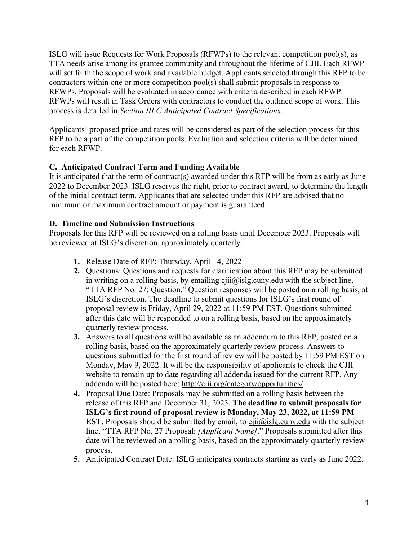ISLG will issue Requests for Work Proposals (RFWPs) to the relevant competition pool(s), as TTA needs arise among its grantee community and throughout the lifetime of CJII. Each RFWP will set forth the scope of work and available budget. Applicants selected through this RFP to be contractors within one or more competition pool(s) shall submit proposals in response to RFWPs. Proposals will be evaluated in accordance with criteria described in each RFWP. RFWPs will result in Task Orders with contractors to conduct the outlined scope of work. This process is detailed in *Section III.C Anticipated Contract Specifications*.

Applicants' proposed price and rates will be considered as part of the selection process for this RFP to be a part of the competition pools. Evaluation and selection criteria will be determined for each RFWP.

# **C. Anticipated Contract Term and Funding Available**

It is anticipated that the term of contract(s) awarded under this RFP will be from as early as June 2022 to December 2023. ISLG reserves the right, prior to contract award, to determine the length of the initial contract term. Applicants that are selected under this RFP are advised that no minimum or maximum contract amount or payment is guaranteed.

### **D. Timeline and Submission Instructions**

Proposals for this RFP will be reviewed on a rolling basis until December 2023. Proposals will be reviewed at ISLG's discretion, approximately quarterly.

- **1.** Release Date of RFP: Thursday, April 14, 2022
- **2.** Questions: Questions and requests for clarification about this RFP may be submitted in writing on a rolling basis, by emailing  $\frac{c}{\text{iii}}(\omega)$  islg.cuny.edu with the subject line, "TTA RFP No. 27: Question." Question responses will be posted on a rolling basis, at ISLG's discretion. The deadline to submit questions for ISLG's first round of proposal review is Friday, April 29, 2022 at 11:59 PM EST. Questions submitted after this date will be responded to on a rolling basis, based on the approximately quarterly review process.
- **3.** Answers to all questions will be available as an addendum to this RFP, posted on a rolling basis, based on the approximately quarterly review process. Answers to questions submitted for the first round of review will be posted by 11:59 PM EST on Monday, May 9, 2022. It will be the responsibility of applicants to check the CJII website to remain up to date regarding all addenda issued for the current RFP. Any addenda will be posted here: http://cjii.org/category/opportunities/.
- **4.** Proposal Due Date: Proposals may be submitted on a rolling basis between the release of this RFP and December 31, 2023. **The deadline to submit proposals for ISLG's first round of proposal review is Monday, May 23, 2022, at 11:59 PM EST**. Proposals should be submitted by email, to  $cji\hat{a}j$  and  $cji\hat{a}j$  and  $cji$  with the subject line, "TTA RFP No. 27 Proposal: *[Applicant Name]*." Proposals submitted after this date will be reviewed on a rolling basis, based on the approximately quarterly review process.
- **5.** Anticipated Contract Date: ISLG anticipates contracts starting as early as June 2022.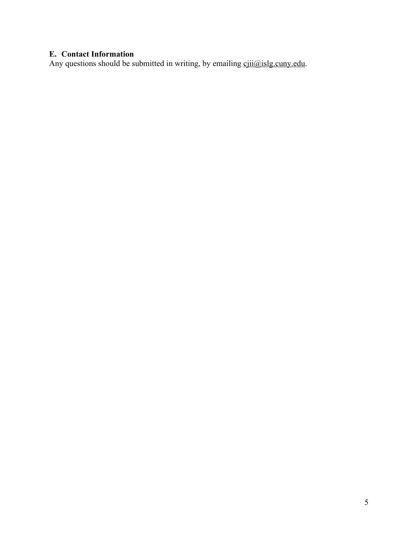# **E. Contact Information**

Any questions should be submitted in writing, by emailing cjii@islg.cuny.edu.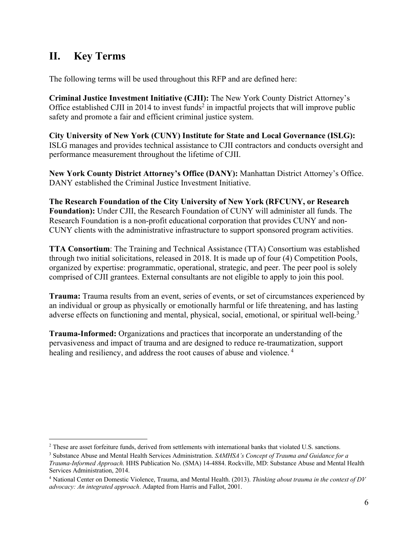# **II. Key Terms**

The following terms will be used throughout this RFP and are defined here:

**Criminal Justice Investment Initiative (CJII):** The New York County District Attorney's Office established CJII in 2014 to invest funds<sup>2</sup> in impactful projects that will improve public safety and promote a fair and efficient criminal justice system.

**City University of New York (CUNY) Institute for State and Local Governance (ISLG):** ISLG manages and provides technical assistance to CJII contractors and conducts oversight and performance measurement throughout the lifetime of CJII.

**New York County District Attorney's Office (DANY):** Manhattan District Attorney's Office. DANY established the Criminal Justice Investment Initiative.

**The Research Foundation of the City University of New York (RFCUNY, or Research Foundation):** Under CJII, the Research Foundation of CUNY will administer all funds. The Research Foundation is a non-profit educational corporation that provides CUNY and non-CUNY clients with the administrative infrastructure to support sponsored program activities.

**TTA Consortium**: The Training and Technical Assistance (TTA) Consortium was established through two initial solicitations, released in 2018. It is made up of four (4) Competition Pools, organized by expertise: programmatic, operational, strategic, and peer. The peer pool is solely comprised of CJII grantees. External consultants are not eligible to apply to join this pool.

**Trauma:** Trauma results from an event, series of events, or set of circumstances experienced by an individual or group as physically or emotionally harmful or life threatening, and has lasting adverse effects on functioning and mental, physical, social, emotional, or spiritual well-being.<sup>3</sup>

**Trauma-Informed:** Organizations and practices that incorporate an understanding of the pervasiveness and impact of trauma and are designed to reduce re-traumatization, support healing and resiliency, and address the root causes of abuse and violence.<sup>4</sup>

<sup>&</sup>lt;sup>2</sup> These are asset forfeiture funds, derived from settlements with international banks that violated U.S. sanctions.

<sup>3</sup> Substance Abuse and Mental Health Services Administration. *SAMHSA's Concept of Trauma and Guidance for a Trauma-Informed Approach.* HHS Publication No. (SMA) 14-4884. Rockville, MD: Substance Abuse and Mental Health Services Administration, 2014.

<sup>4</sup> National Center on Domestic Violence, Trauma, and Mental Health. (2013). *Thinking about trauma in the context of DV advocacy: An integrated approach*. Adapted from Harris and Fallot, 2001.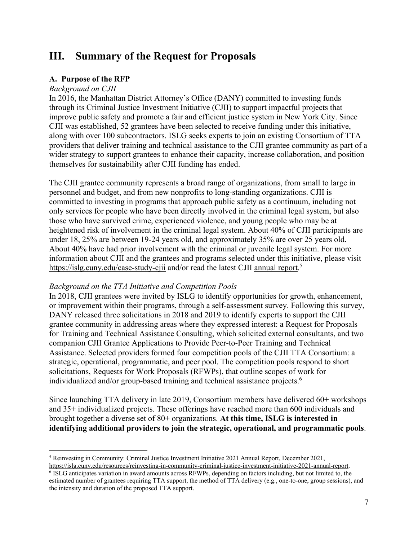# **III. Summary of the Request for Proposals**!

### **A. Purpose of the RFP**

### *Background on CJII*

In 2016, the Manhattan District Attorney's Office (DANY) committed to investing funds through its Criminal Justice Investment Initiative (CJII) to support impactful projects that improve public safety and promote a fair and efficient justice system in New York City. Since CJII was established, 52 grantees have been selected to receive funding under this initiative, along with over 100 subcontractors. ISLG seeks experts to join an existing Consortium of TTA providers that deliver training and technical assistance to the CJII grantee community as part of a wider strategy to support grantees to enhance their capacity, increase collaboration, and position themselves for sustainability after CJII funding has ended.

The CJII grantee community represents a broad range of organizations, from small to large in personnel and budget, and from new nonprofits to long-standing organizations. CJII is committed to investing in programs that approach public safety as a continuum, including not only services for people who have been directly involved in the criminal legal system, but also those who have survived crime, experienced violence, and young people who may be at heightened risk of involvement in the criminal legal system. About 40% of CJII participants are under 18, 25% are between 19-24 years old, and approximately 35% are over 25 years old. About 40% have had prior involvement with the criminal or juvenile legal system. For more information about CJII and the grantees and programs selected under this initiative, please visit https://islg.cuny.edu/case-study-cjii and/or read the latest CJII annual report.<sup>5</sup>

### *Background on the TTA Initiative and Competition Pools*

In 2018, CJII grantees were invited by ISLG to identify opportunities for growth, enhancement, or improvement within their programs, through a self-assessment survey. Following this survey, DANY released three solicitations in 2018 and 2019 to identify experts to support the CJII grantee community in addressing areas where they expressed interest: a Request for Proposals for Training and Technical Assistance Consulting, which solicited external consultants, and two companion CJII Grantee Applications to Provide Peer-to-Peer Training and Technical Assistance. Selected providers formed four competition pools of the CJII TTA Consortium: a strategic, operational, programmatic, and peer pool. The competition pools respond to short solicitations, Requests for Work Proposals (RFWPs), that outline scopes of work for individualized and/or group-based training and technical assistance projects.<sup>6</sup>

Since launching TTA delivery in late 2019, Consortium members have delivered 60+ workshops and 35+ individualized projects. These offerings have reached more than 600 individuals and brought together a diverse set of 80+ organizations. **At this time, ISLG is interested in identifying additional providers to join the strategic, operational, and programmatic pools**.

<sup>5</sup> Reinvesting in Community: Criminal Justice Investment Initiative 2021 Annual Report, December 2021, https://islg.cuny.edu/resources/reinvesting-in-community-criminal-justice-investment-initiative-2021-annual-report.

<sup>&</sup>lt;sup>6</sup> ISLG anticipates variation in award amounts across RFWPs, depending on factors including, but not limited to, the estimated number of grantees requiring TTA support, the method of TTA delivery (e.g., one-to-one, group sessions), and the intensity and duration of the proposed TTA support.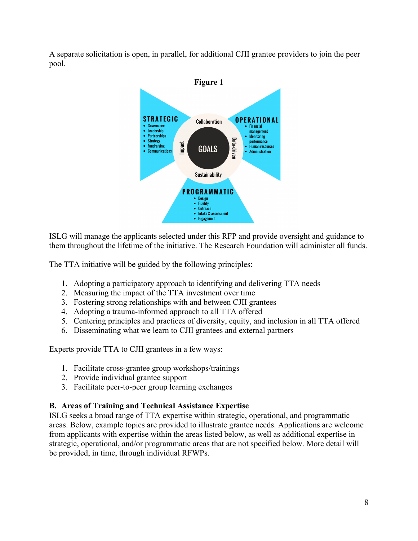A separate solicitation is open, in parallel, for additional CJII grantee providers to join the peer pool.



ISLG will manage the applicants selected under this RFP and provide oversight and guidance to them throughout the lifetime of the initiative. The Research Foundation will administer all funds.

The TTA initiative will be guided by the following principles:

- 1. Adopting a participatory approach to identifying and delivering TTA needs
- 2. Measuring the impact of the TTA investment over time
- 3. Fostering strong relationships with and between CJII grantees
- 4. Adopting a trauma-informed approach to all TTA offered
- 5. Centering principles and practices of diversity, equity, and inclusion in all TTA offered
- 6. Disseminating what we learn to CJII grantees and external partners

Experts provide TTA to CJII grantees in a few ways:

- 1. Facilitate cross-grantee group workshops/trainings
- 2. Provide individual grantee support
- 3. Facilitate peer-to-peer group learning exchanges

# **B. Areas of Training and Technical Assistance Expertise**

ISLG seeks a broad range of TTA expertise within strategic, operational, and programmatic areas. Below, example topics are provided to illustrate grantee needs. Applications are welcome from applicants with expertise within the areas listed below, as well as additional expertise in strategic, operational, and/or programmatic areas that are not specified below. More detail will be provided, in time, through individual RFWPs.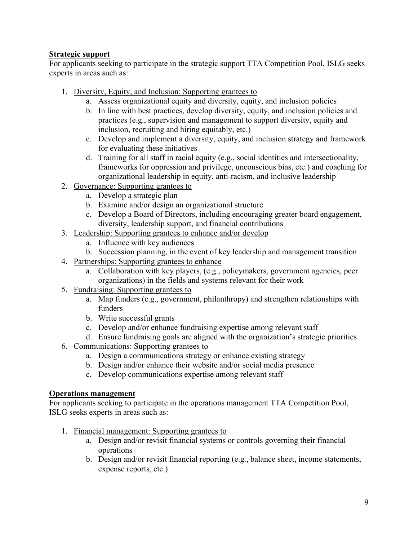### **Strategic support**

For applicants seeking to participate in the strategic support TTA Competition Pool, ISLG seeks experts in areas such as:

- 1. Diversity, Equity, and Inclusion: Supporting grantees to
	- a. Assess organizational equity and diversity, equity, and inclusion policies
	- b. In line with best practices, develop diversity, equity, and inclusion policies and practices (e.g., supervision and management to support diversity, equity and inclusion, recruiting and hiring equitably, etc.)
	- c. Develop and implement a diversity, equity, and inclusion strategy and framework for evaluating these initiatives
	- d. Training for all staff in racial equity (e.g., social identities and intersectionality, frameworks for oppression and privilege, unconscious bias, etc.) and coaching for organizational leadership in equity, anti-racism, and inclusive leadership
- 2. Governance: Supporting grantees to
	- a. Develop a strategic plan
	- b. Examine and/or design an organizational structure
	- c. Develop a Board of Directors, including encouraging greater board engagement, diversity, leadership support, and financial contributions
- 3. Leadership: Supporting grantees to enhance and/or develop
	- a. Influence with key audiences
	- b. Succession planning, in the event of key leadership and management transition
- 4. Partnerships: Supporting grantees to enhance
	- a. Collaboration with key players, (e.g., policymakers, government agencies, peer organizations) in the fields and systems relevant for their work
- 5. Fundraising: Supporting grantees to
	- a. Map funders (e.g., government, philanthropy) and strengthen relationships with funders
	- b. Write successful grants
	- c. Develop and/or enhance fundraising expertise among relevant staff
	- d. Ensure fundraising goals are aligned with the organization's strategic priorities
- 6. Communications: Supporting grantees to
	- a. Design a communications strategy or enhance existing strategy
	- b. Design and/or enhance their website and/or social media presence
	- c. Develop communications expertise among relevant staff

### **Operations management**

For applicants seeking to participate in the operations management TTA Competition Pool, ISLG seeks experts in areas such as:

- 1. Financial management: Supporting grantees to
	- a. Design and/or revisit financial systems or controls governing their financial operations
	- b. Design and/or revisit financial reporting (e.g., balance sheet, income statements, expense reports, etc.)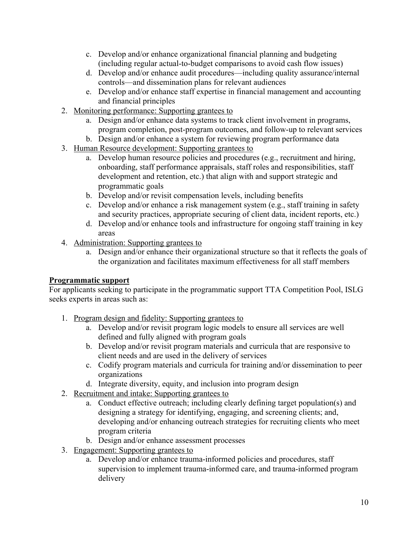- c. Develop and/or enhance organizational financial planning and budgeting (including regular actual-to-budget comparisons to avoid cash flow issues)
- d. Develop and/or enhance audit procedures—including quality assurance/internal controls—and dissemination plans for relevant audiences
- e. Develop and/or enhance staff expertise in financial management and accounting and financial principles
- 2. Monitoring performance: Supporting grantees to
	- a. Design and/or enhance data systems to track client involvement in programs, program completion, post-program outcomes, and follow-up to relevant services
	- b. Design and/or enhance a system for reviewing program performance data
- 3. Human Resource development: Supporting grantees to
	- a. Develop human resource policies and procedures (e.g., recruitment and hiring, onboarding, staff performance appraisals, staff roles and responsibilities, staff development and retention, etc.) that align with and support strategic and programmatic goals
	- b. Develop and/or revisit compensation levels, including benefits
	- c. Develop and/or enhance a risk management system (e.g., staff training in safety and security practices, appropriate securing of client data, incident reports, etc.)
	- d. Develop and/or enhance tools and infrastructure for ongoing staff training in key areas
- 4. Administration: Supporting grantees to
	- a. Design and/or enhance their organizational structure so that it reflects the goals of the organization and facilitates maximum effectiveness for all staff members

# **Programmatic support**

For applicants seeking to participate in the programmatic support TTA Competition Pool, ISLG seeks experts in areas such as:

- 1. Program design and fidelity: Supporting grantees to
	- a. Develop and/or revisit program logic models to ensure all services are well defined and fully aligned with program goals
	- b. Develop and/or revisit program materials and curricula that are responsive to client needs and are used in the delivery of services
	- c. Codify program materials and curricula for training and/or dissemination to peer organizations
	- d. Integrate diversity, equity, and inclusion into program design
- 2. Recruitment and intake: Supporting grantees to
	- a. Conduct effective outreach; including clearly defining target population(s) and designing a strategy for identifying, engaging, and screening clients; and, developing and/or enhancing outreach strategies for recruiting clients who meet program criteria
	- b. Design and/or enhance assessment processes
- 3. Engagement: Supporting grantees to
	- a. Develop and/or enhance trauma-informed policies and procedures, staff supervision to implement trauma-informed care, and trauma-informed program delivery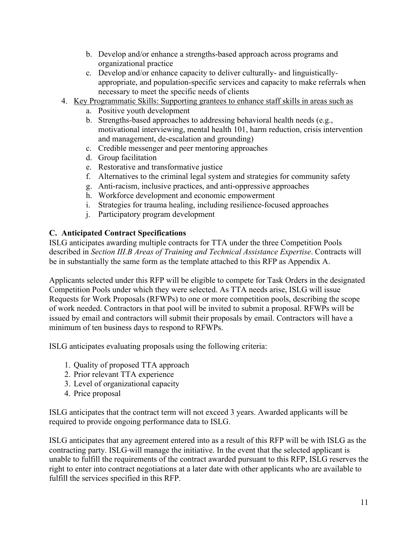- b. Develop and/or enhance a strengths-based approach across programs and organizational practice
- c. Develop and/or enhance capacity to deliver culturally- and linguisticallyappropriate, and population-specific services and capacity to make referrals when necessary to meet the specific needs of clients
- 4. Key Programmatic Skills: Supporting grantees to enhance staff skills in areas such as
	- a. Positive youth development
	- b. Strengths-based approaches to addressing behavioral health needs (e.g., motivational interviewing, mental health 101, harm reduction, crisis intervention and management, de-escalation and grounding)
	- c. Credible messenger and peer mentoring approaches
	- d. Group facilitation
	- e. Restorative and transformative justice
	- f. Alternatives to the criminal legal system and strategies for community safety
	- g. Anti-racism, inclusive practices, and anti-oppressive approaches
	- h. Workforce development and economic empowerment
	- i. Strategies for trauma healing, including resilience-focused approaches
	- j. Participatory program development

### **C. Anticipated Contract Specifications**

ISLG anticipates awarding multiple contracts for TTA under the three Competition Pools described in *Section III.B Areas of Training and Technical Assistance Expertise*. Contracts will be in substantially the same form as the template attached to this RFP as Appendix A.

Applicants selected under this RFP will be eligible to compete for Task Orders in the designated Competition Pools under which they were selected. As TTA needs arise, ISLG will issue Requests for Work Proposals (RFWPs) to one or more competition pools, describing the scope of work needed. Contractors in that pool will be invited to submit a proposal. RFWPs will be issued by email and contractors will submit their proposals by email. Contractors will have a minimum of ten business days to respond to RFWPs.

ISLG anticipates evaluating proposals using the following criteria:

- 1. Quality of proposed TTA approach
- 2. Prior relevant TTA experience
- 3. Level of organizational capacity
- 4. Price proposal

ISLG anticipates that the contract term will not exceed 3 years. Awarded applicants will be required to provide ongoing performance data to ISLG.

ISLG anticipates that any agreement entered into as a result of this RFP will be with ISLG as the contracting party. ISLG will manage the initiative. In the event that the selected applicant is unable to fulfill the requirements of the contract awarded pursuant to this RFP, ISLG reserves the right to enter into contract negotiations at a later date with other applicants who are available to fulfill the services specified in this RFP.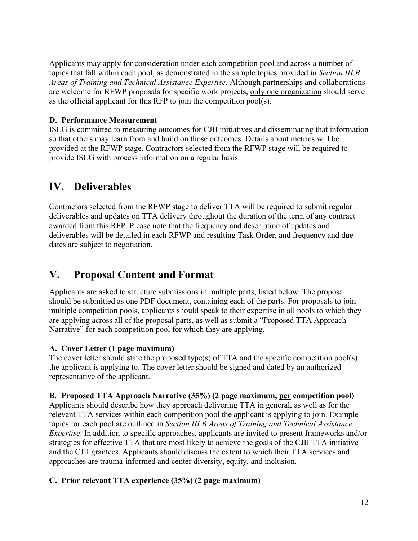Applicants may apply for consideration under each competition pool and across a number of topics that fall within each pool, as demonstrated in the sample topics provided in *Section III.B Areas of Training and Technical Assistance Expertise*. Although partnerships and collaborations are welcome for RFWP proposals for specific work projects, only one organization should serve as the official applicant for this RFP to join the competition pool(s).

### **D. Performance Measurement**

ISLG is committed to measuring outcomes for CJII initiatives and disseminating that information so that others may learn from and build on those outcomes. Details about metrics will be provided at the RFWP stage. Contractors selected from the RFWP stage will be required to provide ISLG with process information on a regular basis.

# **IV. Deliverables**

Contractors selected from the RFWP stage to deliver TTA will be required to submit regular deliverables and updates on TTA delivery throughout the duration of the term of any contract awarded from this RFP. Please note that the frequency and description of updates and deliverables will be detailed in each RFWP and resulting Task Order, and frequency and due dates are subject to negotiation.

# **V. Proposal Content and Format**

Applicants are asked to structure submissions in multiple parts, listed below. The proposal should be submitted as one PDF document, containing each of the parts. For proposals to join multiple competition pools, applicants should speak to their expertise in all pools to which they are applying across all of the proposal parts, as well as submit a "Proposed TTA Approach Narrative" for each competition pool for which they are applying.

# **A. Cover Letter (1 page maximum)**

The cover letter should state the proposed type(s) of TTA and the specific competition pool(s) the applicant is applying to. The cover letter should be signed and dated by an authorized representative of the applicant.

# **B. Proposed TTA Approach Narrative (35%) (2 page maximum, per competition pool)**

Applicants should describe how they approach delivering TTA in general, as well as for the relevant TTA services within each competition pool the applicant is applying to join. Example topics for each pool are outlined in *Section III.B Areas of Training and Technical Assistance Expertise*. In addition to specific approaches, applicants are invited to present frameworks and/or strategies for effective TTA that are most likely to achieve the goals of the CJII TTA initiative and the CJII grantees. Applicants should discuss the extent to which their TTA services and approaches are trauma-informed and center diversity, equity, and inclusion.

# **C. Prior relevant TTA experience (35%) (2 page maximum)**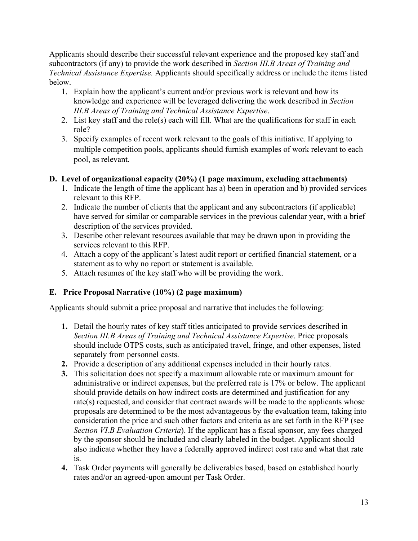Applicants should describe their successful relevant experience and the proposed key staff and subcontractors (if any) to provide the work described in *Section III.B Areas of Training and Technical Assistance Expertise.* Applicants should specifically address or include the items listed below.

- 1. Explain how the applicant's current and/or previous work is relevant and how its knowledge and experience will be leveraged delivering the work described in *Section III.B Areas of Training and Technical Assistance Expertise*.
- 2. List key staff and the role(s) each will fill. What are the qualifications for staff in each role?
- 3. Specify examples of recent work relevant to the goals of this initiative. If applying to multiple competition pools, applicants should furnish examples of work relevant to each pool, as relevant.

### **D. Level of organizational capacity (20%) (1 page maximum, excluding attachments)**

- 1. Indicate the length of time the applicant has a) been in operation and b) provided services relevant to this RFP.
- 2. Indicate the number of clients that the applicant and any subcontractors (if applicable) have served for similar or comparable services in the previous calendar year, with a brief description of the services provided.
- 3. Describe other relevant resources available that may be drawn upon in providing the services relevant to this RFP.
- 4. Attach a copy of the applicant's latest audit report or certified financial statement, or a statement as to why no report or statement is available.
- 5. Attach resumes of the key staff who will be providing the work.

# **E. Price Proposal Narrative (10%) (2 page maximum)**

Applicants should submit a price proposal and narrative that includes the following:

- **1.** Detail the hourly rates of key staff titles anticipated to provide services described in *Section III.B Areas of Training and Technical Assistance Expertise*. Price proposals should include OTPS costs, such as anticipated travel, fringe, and other expenses, listed separately from personnel costs.
- **2.** Provide a description of any additional expenses included in their hourly rates.
- **3.** This solicitation does not specify a maximum allowable rate or maximum amount for administrative or indirect expenses, but the preferred rate is 17% or below. The applicant should provide details on how indirect costs are determined and justification for any rate(s) requested, and consider that contract awards will be made to the applicants whose proposals are determined to be the most advantageous by the evaluation team, taking into consideration the price and such other factors and criteria as are set forth in the RFP (see *Section VI.B Evaluation Criteria*). If the applicant has a fiscal sponsor, any fees charged by the sponsor should be included and clearly labeled in the budget. Applicant should also indicate whether they have a federally approved indirect cost rate and what that rate is.
- **4.** Task Order payments will generally be deliverables based, based on established hourly rates and/or an agreed-upon amount per Task Order.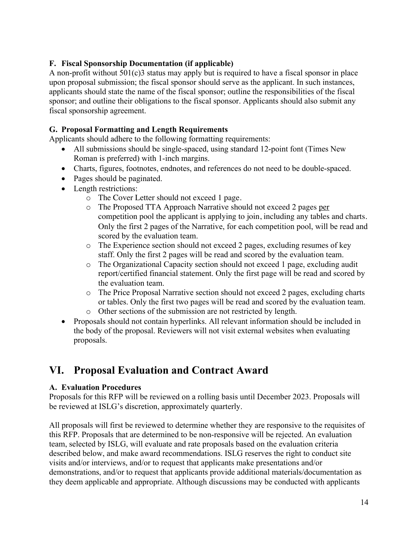### **F. Fiscal Sponsorship Documentation (if applicable)**

A non-profit without  $501(c)$ 3 status may apply but is required to have a fiscal sponsor in place upon proposal submission; the fiscal sponsor should serve as the applicant. In such instances, applicants should state the name of the fiscal sponsor; outline the responsibilities of the fiscal sponsor; and outline their obligations to the fiscal sponsor. Applicants should also submit any fiscal sponsorship agreement.

### **G. Proposal Formatting and Length Requirements**

Applicants should adhere to the following formatting requirements:

- All submissions should be single-spaced, using standard 12-point font (Times New Roman is preferred) with 1-inch margins.
- Charts, figures, footnotes, endnotes, and references do not need to be double-spaced.
- Pages should be paginated.
- Length restrictions:
	- o The Cover Letter should not exceed 1 page.
	- o The Proposed TTA Approach Narrative should not exceed 2 pages per competition pool the applicant is applying to join, including any tables and charts. Only the first 2 pages of the Narrative, for each competition pool, will be read and scored by the evaluation team.
	- o The Experience section should not exceed 2 pages, excluding resumes of key staff. Only the first 2 pages will be read and scored by the evaluation team.
	- o The Organizational Capacity section should not exceed 1 page, excluding audit report/certified financial statement. Only the first page will be read and scored by the evaluation team.
	- o The Price Proposal Narrative section should not exceed 2 pages, excluding charts or tables. Only the first two pages will be read and scored by the evaluation team.
	- o Other sections of the submission are not restricted by length.
- Proposals should not contain hyperlinks. All relevant information should be included in the body of the proposal. Reviewers will not visit external websites when evaluating proposals.

# **VI. Proposal Evaluation and Contract Award**

### **A. Evaluation Procedures**

Proposals for this RFP will be reviewed on a rolling basis until December 2023. Proposals will be reviewed at ISLG's discretion, approximately quarterly.

All proposals will first be reviewed to determine whether they are responsive to the requisites of this RFP. Proposals that are determined to be non-responsive will be rejected. An evaluation team, selected by ISLG, will evaluate and rate proposals based on the evaluation criteria described below, and make award recommendations. ISLG reserves the right to conduct site visits and/or interviews, and/or to request that applicants make presentations and/or demonstrations, and/or to request that applicants provide additional materials/documentation as they deem applicable and appropriate. Although discussions may be conducted with applicants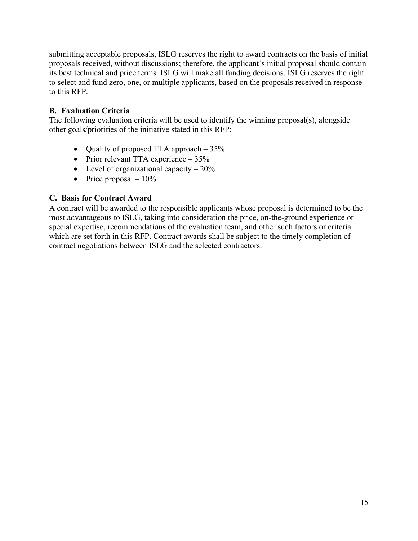submitting acceptable proposals, ISLG reserves the right to award contracts on the basis of initial proposals received, without discussions; therefore, the applicant's initial proposal should contain its best technical and price terms. ISLG will make all funding decisions. ISLG reserves the right to select and fund zero, one, or multiple applicants, based on the proposals received in response to this RFP.

### **B. Evaluation Criteria**

The following evaluation criteria will be used to identify the winning proposal(s), alongside other goals/priorities of the initiative stated in this RFP:

- Quality of proposed TTA approach 35%
- Prior relevant TTA experience 35%
- Level of organizational capacity  $-20\%$
- Price proposal  $-10\%$

# **C. Basis for Contract Award**

A contract will be awarded to the responsible applicants whose proposal is determined to be the most advantageous to ISLG, taking into consideration the price, on-the-ground experience or special expertise, recommendations of the evaluation team, and other such factors or criteria which are set forth in this RFP. Contract awards shall be subject to the timely completion of contract negotiations between ISLG and the selected contractors.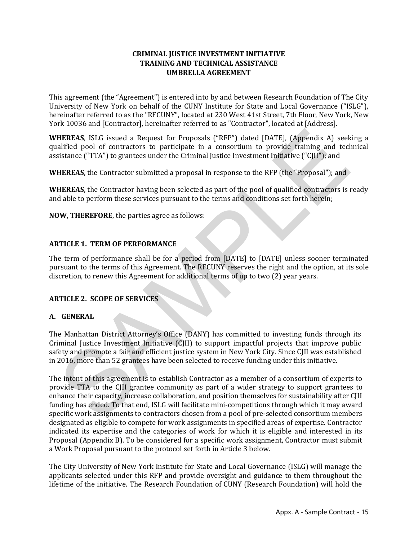### **CRIMINAL JUSTICE INVESTMENT INITIATIVE TRAINING AND TECHNICAL ASSISTANCE UMBRELLA AGREEMENT**

This agreement (the "Agreement") is entered into by and between Research Foundation of The City University of New York on behalf of the CUNY Institute for State and Local Governance ("ISLG"), hereinafter referred to as the "RFCUNY", located at 230 West 41st Street, 7th Floor, New York, New York 10036 and [Contractor], hereinafter referred to as "Contractor", located at [Address].

**WHEREAS**, ISLG issued a Request for Proposals ("RFP") dated [DATE], (Appendix A) seeking a qualified pool of contractors to participate in a consortium to provide training and technical assistance ("TTA") to grantees under the Criminal Justice Investment Initiative ("CJII"); and

**WHEREAS**, the Contractor submitted a proposal in response to the RFP (the "Proposal"); and

**WHEREAS**, the Contractor having been selected as part of the pool of qualified contractors is ready and able to perform these services pursuant to the terms and conditions set forth herein;

**NOW, THEREFORE**, the parties agree as follows:

### **ARTICLE 1. TERM OF PERFORMANCE**

The term of performance shall be for a period from [DATE] to [DATE] unless sooner terminated pursuant to the terms of this Agreement. The RFCUNY reserves the right and the option, at its sole discretion, to renew this Agreement for additional terms of up to two (2) year years.

#### **ARTICLE 2. SCOPE OF SERVICES**

#### **A. GENERAL**

The Manhattan District Attorney's Office (DANY) has committed to investing funds through its Criminal Justice Investment Initiative (CJII) to support impactful projects that improve public safety and promote a fair and efficient justice system in New York City. Since CJII was established in 2016, more than 52 grantees have been selected to receive funding under this initiative.

The intent of this agreement is to establish Contractor as a member of a consortium of experts to provide TTA to the CJII grantee community as part of a wider strategy to support grantees to enhance their capacity, increase collaboration, and position themselves for sustainability after CJII funding has ended. To that end, ISLG will facilitate mini-competitions through which it may award specific work assignments to contractors chosen from a pool of pre-selected consortium members designated as eligible to compete for work assignments in specified areas of expertise. Contractor indicated its expertise and the categories of work for which it is eligible and interested in its Proposal (Appendix B). To be considered for a specific work assignment, Contractor must submit a Work Proposal pursuant to the protocol set forth in Article 3 below.

The City University of New York Institute for State and Local Governance (ISLG) will manage the applicants selected under this RFP and provide oversight and guidance to them throughout the lifetime of the initiative. The Research Foundation of CUNY (Research Foundation) will hold the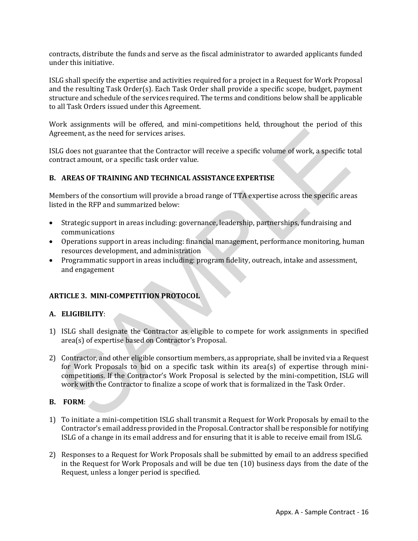contracts, distribute the funds and serve as the fiscal administrator to awarded applicants funded under this initiative.

ISLG shall specify the expertise and activities required for a project in a Request for Work Proposal and the resulting Task Order(s). Each Task Order shall provide a specific scope, budget, payment structure and schedule of the services required. The terms and conditions below shall be applicable to all Task Orders issued under this Agreement.

Work assignments will be offered, and mini-competitions held, throughout the period of this Agreement, as the need for services arises.

ISLG does not guarantee that the Contractor will receive a specific volume of work, a specific total contract amount, or a specific task order value.

### **B. AREAS OF TRAINING AND TECHNICAL ASSISTANCE EXPERTISE**

Members of the consortium will provide a broad range of TTA expertise across the specific areas listed in the RFP and summarized below:

- Strategic support in areas including: governance, leadership, partnerships, fundraising and communications
- Operations support in areas including: financial management, performance monitoring, human resources development, and administration
- Programmatic support in areas including: program fidelity, outreach, intake and assessment, and engagement

### **ARTICLE 3. MINI-COMPETITION PROTOCOL**

#### **A. ELIGIBILITY**:

- 1) ISLG shall designate the Contractor as eligible to compete for work assignments in specified area(s) of expertise based on Contractor's Proposal.
- 2) Contractor, and other eligible consortium members, as appropriate, shall be invited via a Request for Work Proposals to bid on a specific task within its area(s) of expertise through minicompetitions. If the Contractor's Work Proposal is selected by the mini-competition, ISLG will work with the Contractor to finalize a scope of work that is formalized in the Task Order.

#### **B. FORM**:

- 1) To initiate a mini-competition ISLG shall transmit a Request for Work Proposals by email to the Contractor's email address provided in the Proposal. Contractor shall be responsible for notifying ISLG of a change in its email address and for ensuring that it is able to receive email from ISLG.
- 2) Responses to a Request for Work Proposals shall be submitted by email to an address specified in the Request for Work Proposals and will be due ten (10) business days from the date of the Request, unless a longer period is specified.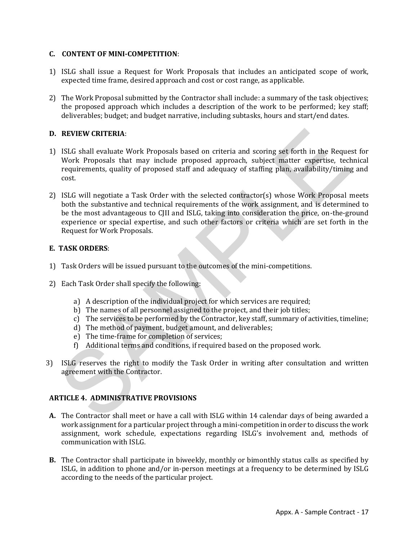#### **C. CONTENT OF MINI-COMPETITION**:

- 1) ISLG shall issue a Request for Work Proposals that includes an anticipated scope of work, expected time frame, desired approach and cost or cost range, as applicable.
- 2) The Work Proposal submitted by the Contractor shall include: a summary of the task objectives; the proposed approach which includes a description of the work to be performed; key staff; deliverables; budget; and budget narrative, including subtasks, hours and start/end dates.

### **D. REVIEW CRITERIA**:

- 1) ISLG shall evaluate Work Proposals based on criteria and scoring set forth in the Request for Work Proposals that may include proposed approach, subject matter expertise, technical requirements, quality of proposed staff and adequacy of staffing plan, availability/timing and cost.
- 2) ISLG will negotiate a Task Order with the selected contractor(s) whose Work Proposal meets both the substantive and technical requirements of the work assignment, and is determined to be the most advantageous to CJII and ISLG, taking into consideration the price, on-the-ground experience or special expertise, and such other factors or criteria which are set forth in the Request for Work Proposals.

### **E. TASK ORDERS**:

- 1) Task Orders will be issued pursuant to the outcomes of the mini-competitions.
- 2) Each Task Order shall specify the following:
	- a) A description of the individual project for which services are required;
	- b) The names of all personnel assigned to the project, and their job titles;
	- c) The services to be performed by the Contractor, key staff, summary of activities, timeline;
	- d) The method of payment, budget amount, and deliverables;
	- e) The time-frame for completion of services;
	- f) Additional terms and conditions, if required based on the proposed work.
- 3) ISLG reserves the right to modify the Task Order in writing after consultation and written agreement with the Contractor.

### **ARTICLE 4. ADMINISTRATIVE PROVISIONS**

- **A.** The Contractor shall meet or have a call with ISLG within 14 calendar days of being awarded a work assignment for a particular project through a mini-competition in order to discuss the work assignment, work schedule, expectations regarding ISLG's involvement and, methods of communication with ISLG.
- **B.** The Contractor shall participate in biweekly, monthly or bimonthly status calls as specified by ISLG, in addition to phone and/or in-person meetings at a frequency to be determined by ISLG according to the needs of the particular project.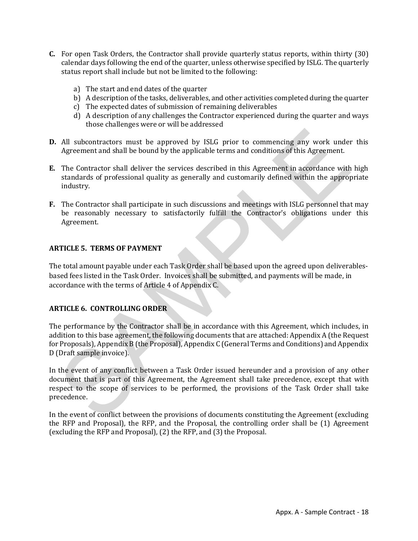- **C.** For open Task Orders, the Contractor shall provide quarterly status reports, within thirty (30) calendar days following the end of the quarter, unless otherwise specified by ISLG. The quarterly status report shall include but not be limited to the following:
	- a) The start and end dates of the quarter
	- b) A description of the tasks, deliverables, and other activities completed during the quarter
	- c) The expected dates of submission of remaining deliverables
	- d) A description of any challenges the Contractor experienced during the quarter and ways those challenges were or will be addressed
- **D.** All subcontractors must be approved by ISLG prior to commencing any work under this Agreement and shall be bound by the applicable terms and conditions of this Agreement.
- **E.** The Contractor shall deliver the services described in this Agreement in accordance with high standards of professional quality as generally and customarily defined within the appropriate industry.
- **F.** The Contractor shall participate in such discussions and meetings with ISLG personnel that may be reasonably necessary to satisfactorily fulfill the Contractor's obligations under this Agreement.

### **ARTICLE 5. TERMS OF PAYMENT**

The total amount payable under each Task Order shall be based upon the agreed upon deliverablesbased fees listed in the Task Order. Invoices shall be submitted, and payments will be made, in accordance with the terms of Article 4 of Appendix C.

### **ARTICLE 6. CONTROLLING ORDER**

The performance by the Contractor shall be in accordance with this Agreement, which includes, in addition to this base agreement, the following documents that are attached: Appendix A (the Request for Proposals), Appendix B (the Proposal), Appendix C (General Terms and Conditions) and Appendix D (Draft sample invoice).

In the event of any conflict between a Task Order issued hereunder and a provision of any other document that is part of this Agreement, the Agreement shall take precedence, except that with respect to the scope of services to be performed, the provisions of the Task Order shall take precedence.

In the event of conflict between the provisions of documents constituting the Agreement (excluding the RFP and Proposal), the RFP, and the Proposal, the controlling order shall be (1) Agreement (excluding the RFP and Proposal), (2) the RFP, and (3) the Proposal.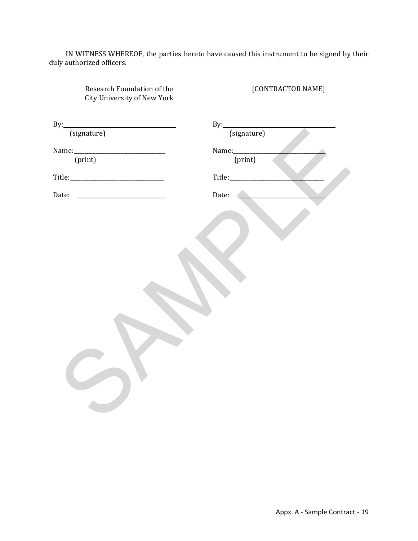IN WITNESS WHEREOF, the parties hereto have caused this instrument to be signed by their duly authorized officers.

| Research Foundation of the<br>City University of New York | [CONTRACTOR NAME] |
|-----------------------------------------------------------|-------------------|
| By:                                                       | By:               |
| (signature)                                               | (signature)       |
| Name: [print]                                             |                   |
|                                                           | (print)           |
|                                                           |                   |
| Date:                                                     | Date:             |
|                                                           |                   |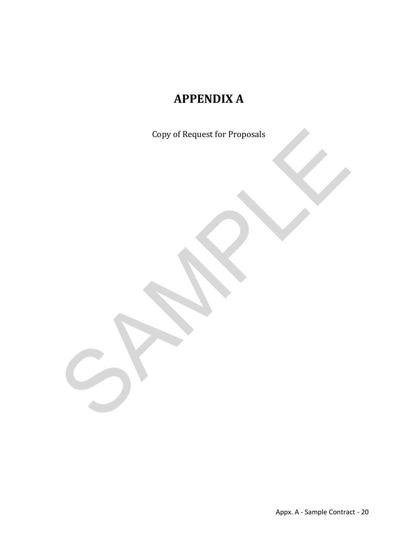# **APPENDIX A**

Copy of Request for Proposals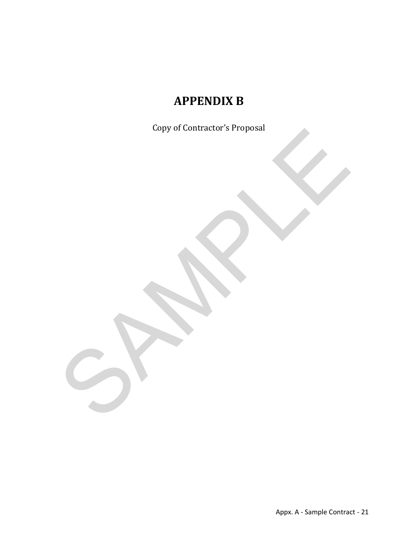# **APPENDIX B**

Copy of Contractor's Proposal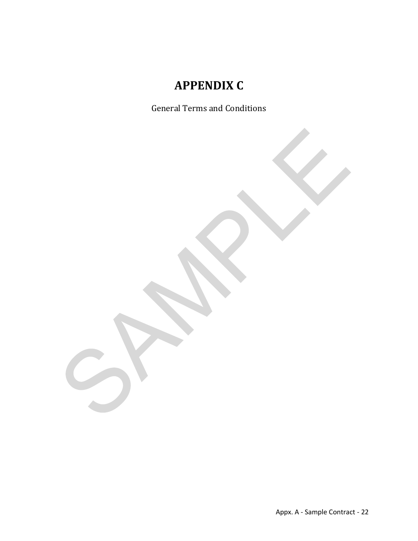# **APPENDIX C**

General Terms and Conditions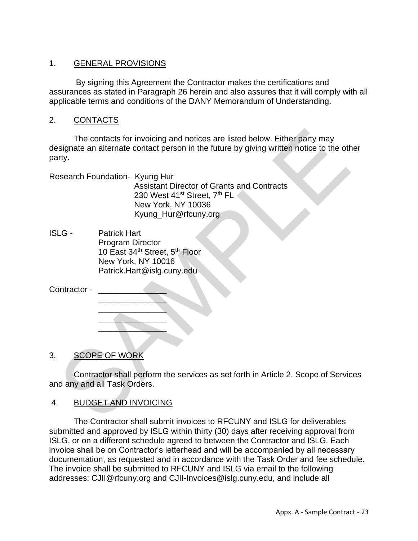### 1. GENERAL PROVISIONS

By signing this Agreement the Contractor makes the certifications and assurances as stated in Paragraph 26 herein and also assures that it will comply with all applicable terms and conditions of the DANY Memorandum of Understanding.

### 2. CONTACTS

The contacts for invoicing and notices are listed below. Either party may designate an alternate contact person in the future by giving written notice to the other party.

Research Foundation- Kyung Hur Assistant Director of Grants and Contracts 230 West 41<sup>st</sup> Street, 7<sup>th</sup> FL New York, NY 10036 Kyung\_Hur@rfcuny.org

ISLG - Patrick Hart Program Director 10 East 34<sup>th</sup> Street, 5<sup>th</sup> Floor New York, NY 10016 Patrick.Hart@islg.cuny.edu

| Contractor - |  |
|--------------|--|
|              |  |

3. SCOPE OF WORK

 $\mathcal{L}=\mathcal{L}=\mathcal{L}=\mathcal{L}=\mathcal{L}=\mathcal{L}=\mathcal{L}=\mathcal{L}=\mathcal{L}=\mathcal{L}=\mathcal{L}=\mathcal{L}=\mathcal{L}=\mathcal{L}=\mathcal{L}=\mathcal{L}=\mathcal{L}=\mathcal{L}=\mathcal{L}=\mathcal{L}=\mathcal{L}=\mathcal{L}=\mathcal{L}=\mathcal{L}=\mathcal{L}=\mathcal{L}=\mathcal{L}=\mathcal{L}=\mathcal{L}=\mathcal{L}=\mathcal{L}=\mathcal{L}=\mathcal{L}=\mathcal{L}=\mathcal{L}=\mathcal{L}=\mathcal{$  $\overline{\phantom{a}}$  , and the set of the set of the set of the set of the set of the set of the set of the set of the set of the set of the set of the set of the set of the set of the set of the set of the set of the set of the s  $\mathcal{L}$  and  $\mathcal{L}$  and  $\mathcal{L}$  $\mathcal{L}$  and  $\mathcal{L}$  and  $\mathcal{L}$ 

Contractor shall perform the services as set forth in Article 2. Scope of Services and any and all Task Orders.

# 4. BUDGET AND INVOICING

The Contractor shall submit invoices to RFCUNY and ISLG for deliverables submitted and approved by ISLG within thirty (30) days after receiving approval from ISLG, or on a different schedule agreed to between the Contractor and ISLG. Each invoice shall be on Contractor's letterhead and will be accompanied by all necessary documentation, as requested and in accordance with the Task Order and fee schedule. The invoice shall be submitted to RFCUNY and ISLG via email to the following addresses: CJII@rfcuny.org and CJII-Invoices@islg.cuny.edu, and include all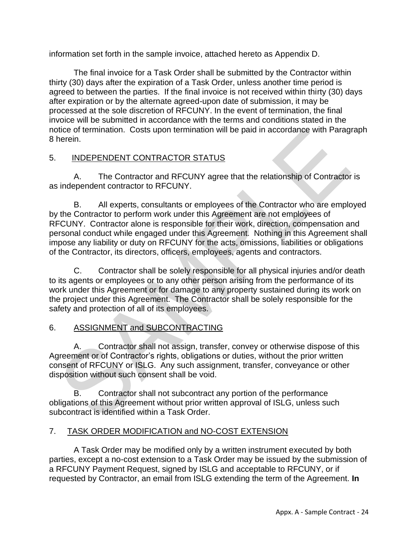information set forth in the sample invoice, attached hereto as Appendix D.

The final invoice for a Task Order shall be submitted by the Contractor within thirty (30) days after the expiration of a Task Order, unless another time period is agreed to between the parties. If the final invoice is not received within thirty (30) days after expiration or by the alternate agreed-upon date of submission, it may be processed at the sole discretion of RFCUNY. In the event of termination, the final invoice will be submitted in accordance with the terms and conditions stated in the notice of termination. Costs upon termination will be paid in accordance with Paragraph 8 herein.

# 5. INDEPENDENT CONTRACTOR STATUS

A. The Contractor and RFCUNY agree that the relationship of Contractor is as independent contractor to RFCUNY.

B. All experts, consultants or employees of the Contractor who are employed by the Contractor to perform work under this Agreement are not employees of RFCUNY. Contractor alone is responsible for their work, direction, compensation and personal conduct while engaged under this Agreement. Nothing in this Agreement shall impose any liability or duty on RFCUNY for the acts, omissions, liabilities or obligations of the Contractor, its directors, officers, employees, agents and contractors.

C. Contractor shall be solely responsible for all physical injuries and/or death to its agents or employees or to any other person arising from the performance of its work under this Agreement or for damage to any property sustained during its work on the project under this Agreement. The Contractor shall be solely responsible for the safety and protection of all of its employees.

# 6. ASSIGNMENT and SUBCONTRACTING

A. Contractor shall not assign, transfer, convey or otherwise dispose of this Agreement or of Contractor's rights, obligations or duties, without the prior written consent of RFCUNY or ISLG. Any such assignment, transfer, conveyance or other disposition without such consent shall be void.

B. Contractor shall not subcontract any portion of the performance obligations of this Agreement without prior written approval of ISLG, unless such subcontract is identified within a Task Order.

# 7. TASK ORDER MODIFICATION and NO-COST EXTENSION

A Task Order may be modified only by a written instrument executed by both parties, except a no-cost extension to a Task Order may be issued by the submission of a RFCUNY Payment Request, signed by ISLG and acceptable to RFCUNY, or if requested by Contractor, an email from ISLG extending the term of the Agreement. **In**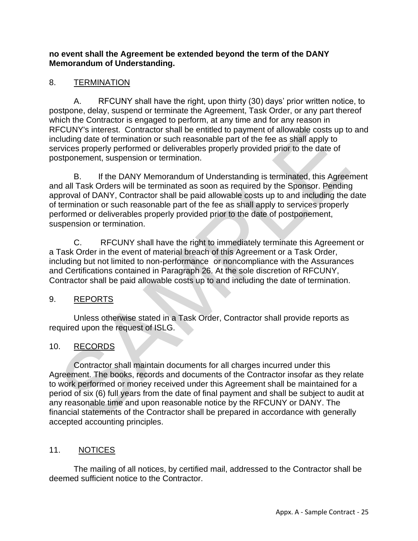### **no event shall the Agreement be extended beyond the term of the DANY Memorandum of Understanding.**

# 8. TERMINATION

A. RFCUNY shall have the right, upon thirty (30) days' prior written notice, to postpone, delay, suspend or terminate the Agreement, Task Order, or any part thereof which the Contractor is engaged to perform, at any time and for any reason in RFCUNY's interest. Contractor shall be entitled to payment of allowable costs up to and including date of termination or such reasonable part of the fee as shall apply to services properly performed or deliverables properly provided prior to the date of postponement, suspension or termination.

B. If the DANY Memorandum of Understanding is terminated, this Agreement and all Task Orders will be terminated as soon as required by the Sponsor. Pending approval of DANY, Contractor shall be paid allowable costs up to and including the date of termination or such reasonable part of the fee as shall apply to services properly performed or deliverables properly provided prior to the date of postponement, suspension or termination.

C. RFCUNY shall have the right to immediately terminate this Agreement or a Task Order in the event of material breach of this Agreement or a Task Order, including but not limited to non-performance or noncompliance with the Assurances and Certifications contained in Paragraph 26. At the sole discretion of RFCUNY, Contractor shall be paid allowable costs up to and including the date of termination.

# 9. REPORTS

Unless otherwise stated in a Task Order, Contractor shall provide reports as required upon the request of ISLG.

# 10. RECORDS

Contractor shall maintain documents for all charges incurred under this Agreement. The books, records and documents of the Contractor insofar as they relate to work performed or money received under this Agreement shall be maintained for a period of six (6) full years from the date of final payment and shall be subject to audit at any reasonable time and upon reasonable notice by the RFCUNY or DANY. The financial statements of the Contractor shall be prepared in accordance with generally accepted accounting principles.

# 11. NOTICES

The mailing of all notices, by certified mail, addressed to the Contractor shall be deemed sufficient notice to the Contractor.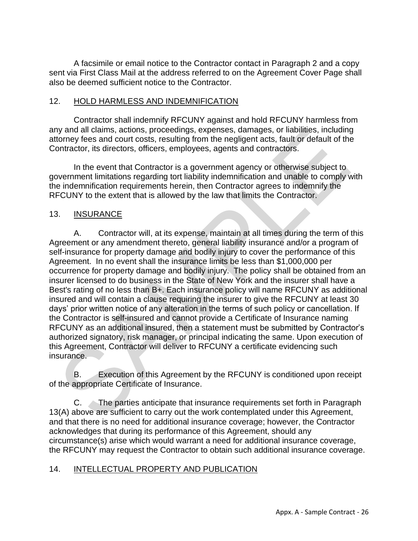A facsimile or email notice to the Contractor contact in Paragraph 2 and a copy sent via First Class Mail at the address referred to on the Agreement Cover Page shall also be deemed sufficient notice to the Contractor.

### 12. HOLD HARMLESS AND INDEMNIFICATION

Contractor shall indemnify RFCUNY against and hold RFCUNY harmless from any and all claims, actions, proceedings, expenses, damages, or liabilities, including attorney fees and court costs, resulting from the negligent acts, fault or default of the Contractor, its directors, officers, employees, agents and contractors.

In the event that Contractor is a government agency or otherwise subject to government limitations regarding tort liability indemnification and unable to comply with the indemnification requirements herein, then Contractor agrees to indemnify the RFCUNY to the extent that is allowed by the law that limits the Contractor.

### 13. INSURANCE

A. Contractor will, at its expense, maintain at all times during the term of this Agreement or any amendment thereto, general liability insurance and/or a program of self-insurance for property damage and bodily injury to cover the performance of this Agreement. In no event shall the insurance limits be less than \$1,000,000 per occurrence for property damage and bodily injury. The policy shall be obtained from an insurer licensed to do business in the State of New York and the insurer shall have a Best's rating of no less than B+. Each insurance policy will name RFCUNY as additional insured and will contain a clause requiring the insurer to give the RFCUNY at least 30 days' prior written notice of any alteration in the terms of such policy or cancellation. If the Contractor is self-insured and cannot provide a Certificate of Insurance naming RFCUNY as an additional insured, then a statement must be submitted by Contractor's authorized signatory, risk manager, or principal indicating the same. Upon execution of this Agreement, Contractor will deliver to RFCUNY a certificate evidencing such insurance.

B. Execution of this Agreement by the RFCUNY is conditioned upon receipt of the appropriate Certificate of Insurance.

C. The parties anticipate that insurance requirements set forth in Paragraph 13(A) above are sufficient to carry out the work contemplated under this Agreement, and that there is no need for additional insurance coverage; however, the Contractor acknowledges that during its performance of this Agreement, should any circumstance(s) arise which would warrant a need for additional insurance coverage, the RFCUNY may request the Contractor to obtain such additional insurance coverage.

# 14. INTELLECTUAL PROPERTY AND PUBLICATION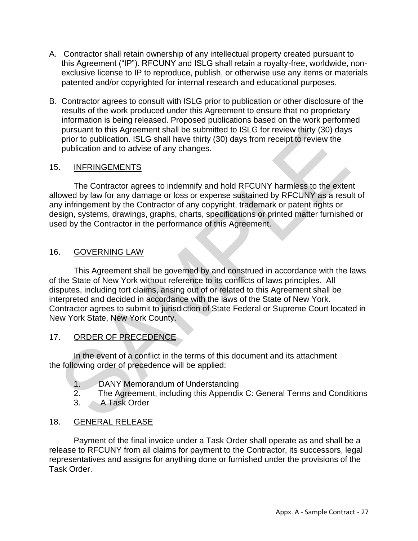- A. Contractor shall retain ownership of any intellectual property created pursuant to this Agreement ("IP"). RFCUNY and ISLG shall retain a royalty-free, worldwide, nonexclusive license to IP to reproduce, publish, or otherwise use any items or materials patented and/or copyrighted for internal research and educational purposes.
- B. Contractor agrees to consult with ISLG prior to publication or other disclosure of the results of the work produced under this Agreement to ensure that no proprietary information is being released. Proposed publications based on the work performed pursuant to this Agreement shall be submitted to ISLG for review thirty (30) days prior to publication. ISLG shall have thirty (30) days from receipt to review the publication and to advise of any changes.

### 15. INFRINGEMENTS

The Contractor agrees to indemnify and hold RFCUNY harmless to the extent allowed by law for any damage or loss or expense sustained by RFCUNY as a result of any infringement by the Contractor of any copyright, trademark or patent rights or design, systems, drawings, graphs, charts, specifications or printed matter furnished or used by the Contractor in the performance of this Agreement.

# 16. GOVERNING LAW

This Agreement shall be governed by and construed in accordance with the laws of the State of New York without reference to its conflicts of laws principles. All disputes, including tort claims, arising out of or related to this Agreement shall be interpreted and decided in accordance with the laws of the State of New York. Contractor agrees to submit to jurisdiction of State Federal or Supreme Court located in New York State, New York County.

# 17. ORDER OF PRECEDENCE

In the event of a conflict in the terms of this document and its attachment the following order of precedence will be applied:

- 1. DANY Memorandum of Understanding
- 2. The Agreement, including this Appendix C: General Terms and Conditions
- 3. A Task Order

# 18. GENERAL RELEASE

Payment of the final invoice under a Task Order shall operate as and shall be a release to RFCUNY from all claims for payment to the Contractor, its successors, legal representatives and assigns for anything done or furnished under the provisions of the Task Order.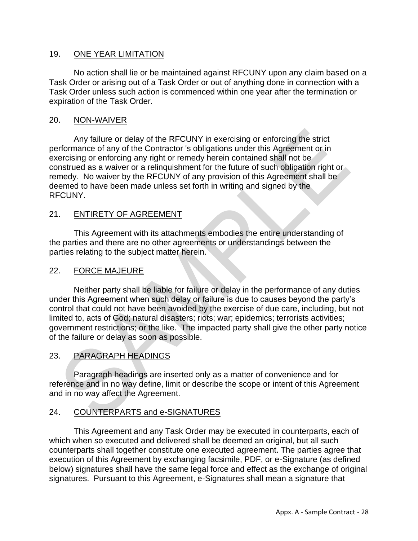### 19. ONE YEAR LIMITATION

No action shall lie or be maintained against RFCUNY upon any claim based on a Task Order or arising out of a Task Order or out of anything done in connection with a Task Order unless such action is commenced within one year after the termination or expiration of the Task Order.

### 20. NON-WAIVER

Any failure or delay of the RFCUNY in exercising or enforcing the strict performance of any of the Contractor 's obligations under this Agreement or in exercising or enforcing any right or remedy herein contained shall not be construed as a waiver or a relinquishment for the future of such obligation right or remedy. No waiver by the RFCUNY of any provision of this Agreement shall be deemed to have been made unless set forth in writing and signed by the RFCUNY.

### 21. ENTIRETY OF AGREEMENT

This Agreement with its attachments embodies the entire understanding of the parties and there are no other agreements or understandings between the parties relating to the subject matter herein.

### 22. FORCE MAJEURE

Neither party shall be liable for failure or delay in the performance of any duties under this Agreement when such delay or failure is due to causes beyond the party's control that could not have been avoided by the exercise of due care, including, but not limited to, acts of God; natural disasters; riots; war; epidemics; terrorists activities; government restrictions; or the like. The impacted party shall give the other party notice of the failure or delay as soon as possible.

### 23. PARAGRAPH HEADINGS

Paragraph headings are inserted only as a matter of convenience and for reference and in no way define, limit or describe the scope or intent of this Agreement and in no way affect the Agreement.

### 24. COUNTERPARTS and e-SIGNATURES

This Agreement and any Task Order may be executed in counterparts, each of which when so executed and delivered shall be deemed an original, but all such counterparts shall together constitute one executed agreement. The parties agree that execution of this Agreement by exchanging facsimile, PDF, or e-Signature (as defined below) signatures shall have the same legal force and effect as the exchange of original signatures. Pursuant to this Agreement, e-Signatures shall mean a signature that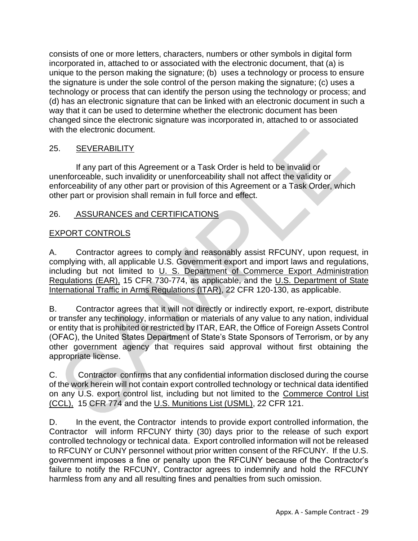consists of one or more letters, characters, numbers or other symbols in digital form incorporated in, attached to or associated with the electronic document, that (a) is unique to the person making the signature; (b) uses a technology or process to ensure the signature is under the sole control of the person making the signature; (c) uses a technology or process that can identify the person using the technology or process; and (d) has an electronic signature that can be linked with an electronic document in such a way that it can be used to determine whether the electronic document has been changed since the electronic signature was incorporated in, attached to or associated with the electronic document.

# 25. **SEVERABILITY**

If any part of this Agreement or a Task Order is held to be invalid or unenforceable, such invalidity or unenforceability shall not affect the validity or enforceability of any other part or provision of this Agreement or a Task Order, which other part or provision shall remain in full force and effect.

# 26. ASSURANCES and CERTIFICATIONS

# EXPORT CONTROLS

A. Contractor agrees to comply and reasonably assist RFCUNY, upon request, in complying with, all applicable U.S. Government export and import laws and regulations, including but not limited to U. S. Department of Commerce Export Administration Regulations (EAR), 15 CFR 730-774, as applicable, and the U.S. Department of State International Traffic in Arms Regulations (ITAR), 22 CFR 120-130, as applicable.

B. Contractor agrees that it will not directly or indirectly export, re-export, distribute or transfer any technology, information or materials of any value to any nation, individual or entity that is prohibited or restricted by ITAR, EAR, the Office of Foreign Assets Control (OFAC), the United States Department of State's State Sponsors of Terrorism, or by any other government agency that requires said approval without first obtaining the appropriate license.

C. Contractor confirms that any confidential information disclosed during the course of the work herein will not contain export controlled technology or technical data identified on any U.S. export control list, including but not limited to the Commerce Control List (CCL), 15 CFR 774 and the U.S. Munitions List (USML), 22 CFR 121.

D. In the event, the Contractor intends to provide export controlled information, the Contractor will inform RFCUNY thirty (30) days prior to the release of such export controlled technology or technical data. Export controlled information will not be released to RFCUNY or CUNY personnel without prior written consent of the RFCUNY. If the U.S. government imposes a fine or penalty upon the RFCUNY because of the Contractor's failure to notify the RFCUNY, Contractor agrees to indemnify and hold the RFCUNY harmless from any and all resulting fines and penalties from such omission.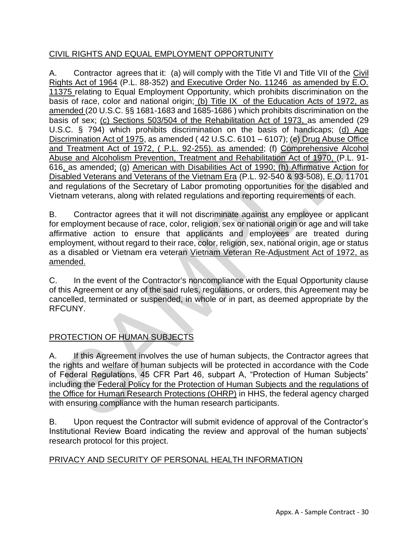# CIVIL RIGHTS AND EQUAL EMPLOYMENT OPPORTUNITY

A. Contractor agrees that it: (a) will comply with the Title VI and Title VII of the Civil Rights Act of 1964 (P.L. 88-352) and Executive Order No. 11246 as amended by E.O. 11375 relating to Equal Employment Opportunity, which prohibits discrimination on the basis of race, color and national origin; (b) Title IX of the Education Acts of 1972, as amended (20 U.S.C. §§ 1681-1683 and 1685-1686 ) which prohibits discrimination on the basis of sex; (c) Sections 503/504 of the Rehabilitation Act of 1973, as amended (29 U.S.C. § 794) which prohibits discrimination on the basis of handicaps; (d) Age Discrimination Act of 1975, as amended ( 42 U.S.C. 6101 – 6107); (e) Drug Abuse Office and Treatment Act of 1972, ( P.L. 92-255). as amended; (f) Comprehensive Alcohol Abuse and Alcoholism Prevention, Treatment and Rehabilitation Act of 1970, (P.L. 91- 616, as amended; (g) American with Disabilities Act of 1990; (h) Affirmative Action for Disabled Veterans and Veterans of the Vietnam Era (P.L. 92-540 & 93-508), E.O. 11701 and regulations of the Secretary of Labor promoting opportunities for the disabled and Vietnam veterans, along with related regulations and reporting requirements of each.

B. Contractor agrees that it will not discriminate against any employee or applicant for employment because of race, color, religion, sex or national origin or age and will take affirmative action to ensure that applicants and employees are treated during employment, without regard to their race, color, religion, sex, national origin, age or status as a disabled or Vietnam era veteran Vietnam Veteran Re-Adjustment Act of 1972, as amended.

C. In the event of the Contractor's noncompliance with the Equal Opportunity clause of this Agreement or any of the said rules, regulations, or orders, this Agreement may be cancelled, terminated or suspended, in whole or in part, as deemed appropriate by the RFCUNY.

# PROTECTION OF HUMAN SUBJECTS

A. If this Agreement involves the use of human subjects, the Contractor agrees that the rights and welfare of human subjects will be protected in accordance with the Code of Federal Regulations, 45 CFR Part 46, subpart A, "Protection of Human Subjects" including the Federal Policy for the Protection of Human Subjects and the regulations of the Office for Human Research Protections (OHRP) in HHS, the federal agency charged with ensuring compliance with the human research participants.

B. Upon request the Contractor will submit evidence of approval of the Contractor's Institutional Review Board indicating the review and approval of the human subjects' research protocol for this project.

# PRIVACY AND SECURITY OF PERSONAL HEALTH INFORMATION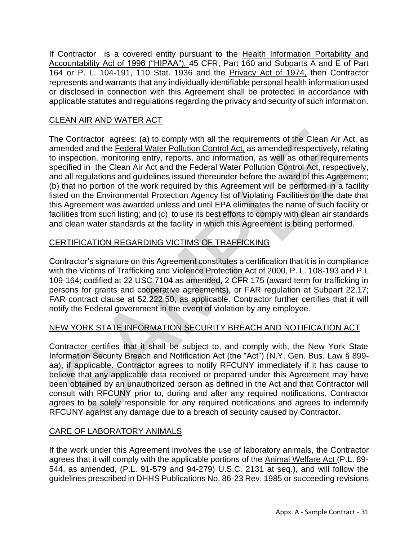If Contractor is a covered entity pursuant to the Health Information Portability and Accountability Act of 1996 ("HIPAA"), 45 CFR, Part 160 and Subparts A and E of Part 164 or P. L. 104-191, 110 Stat. 1936 and the Privacy Act of 1974, then Contractor represents and warrants that any individually identifiable personal health information used or disclosed in connection with this Agreement shall be protected in accordance with applicable statutes and regulations regarding the privacy and security of such information.

# CLEAN AIR AND WATER ACT

The Contractor agrees: (a) to comply with all the requirements of the Clean Air Act, as amended and the Federal Water Pollution Control Act, as amended respectively, relating to inspection, monitoring entry, reports, and information, as well as other requirements specified in the Clean Air Act and the Federal Water Pollution Control Act, respectively, and all regulations and guidelines issued thereunder before the award of this Agreement; (b) that no portion of the work required by this Agreement will be performed in a facility listed on the Environmental Protection Agency list of Violating Facilities on the date that this Agreement was awarded unless and until EPA eliminates the name of such facility or facilities from such listing; and (c) to use its best efforts to comply with clean air standards and clean water standards at the facility in which this Agreement is being performed.

# CERTIFICATION REGARDING VICTIMS OF TRAFFICKING

Contractor's signature on this Agreement constitutes a certification that it is in compliance with the Victims of Trafficking and Violence Protection Act of 2000, P. L. 108-193 and P.L 109-164; codified at 22 USC 7104 as amended, 2 CFR 175 (award term for trafficking in persons for grants and cooperative agreements), or FAR regulation at Subpart 22.17; FAR contract clause at 52.222.50, as applicable. Contractor further certifies that it will notify the Federal government in the event of violation by any employee.

# NEW YORK STATE INFORMATION SECURITY BREACH AND NOTIFICATION ACT

Contractor certifies that it shall be subject to, and comply with, the New York State Information Security Breach and Notification Act (the "Act") (N.Y. Gen. Bus. Law § 899 aa), if applicable. Contractor agrees to notify RFCUNY immediately if it has cause to believe that any applicable data received or prepared under this Agreement may have been obtained by an unauthorized person as defined in the Act and that Contractor will consult with RFCUNY prior to, during and after any required notifications. Contractor agrees to be solely responsible for any required notifications and agrees to indemnify RFCUNY against any damage due to a breach of security caused by Contractor.

# CARE OF LABORATORY ANIMALS

If the work under this Agreement involves the use of laboratory animals, the Contractor agrees that it will comply with the applicable portions of the Animal Welfare Act (P.L. 89- 544, as amended, (P.L. 91-579 and 94-279) U.S.C. 2131 at seq.), and will follow the guidelines prescribed in DHHS Publications No. 86-23 Rev. 1985 or succeeding revisions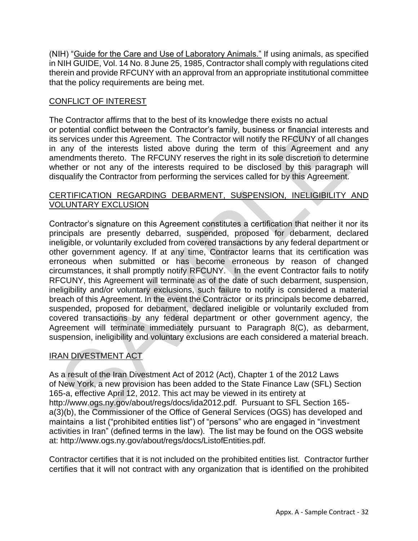(NIH) "Guide for the Care and Use of Laboratory Animals." If using animals, as specified in NIH GUIDE, Vol. 14 No. 8 June 25, 1985, Contractor shall comply with regulations cited therein and provide RFCUNY with an approval from an appropriate institutional committee that the policy requirements are being met.

# CONFLICT OF INTEREST

The Contractor affirms that to the best of its knowledge there exists no actual or potential conflict between the Contractor's family, business or financial interests and its services under this Agreement. The Contractor will notify the RFCUNY of all changes in any of the interests listed above during the term of this Agreement and any amendments thereto. The RFCUNY reserves the right in its sole discretion to determine whether or not any of the interests required to be disclosed by this paragraph will disqualify the Contractor from performing the services called for by this Agreement.

### CERTIFICATION REGARDING DEBARMENT, SUSPENSION, INELIGIBILITY AND VOLUNTARY EXCLUSION

Contractor's signature on this Agreement constitutes a certification that neither it nor its principals are presently debarred, suspended, proposed for debarment, declared ineligible, or voluntarily excluded from covered transactions by any federal department or other government agency. If at any time, Contractor learns that its certification was erroneous when submitted or has become erroneous by reason of changed circumstances, it shall promptly notify RFCUNY. In the event Contractor fails to notify RFCUNY, this Agreement will terminate as of the date of such debarment, suspension, ineligibility and/or voluntary exclusions, such failure to notify is considered a material breach of this Agreement. In the event the Contractor or its principals become debarred, suspended, proposed for debarment, declared ineligible or voluntarily excluded from covered transactions by any federal department or other government agency, the Agreement will terminate immediately pursuant to Paragraph 8(C), as debarment, suspension, ineligibility and voluntary exclusions are each considered a material breach.

# IRAN DIVESTMENT ACT

As a result of the Iran Divestment Act of 2012 (Act), Chapter 1 of the 2012 Laws of New York, a new provision has been added to the State Finance Law (SFL) Section 165-a, effective April 12, 2012. This act may be viewed in its entirety at http://www.ogs.ny.gov/about/regs/docs/ida2012.pdf. Pursuant to SFL Section 165 a(3)(b), the Commissioner of the Office of General Services (OGS) has developed and maintains a list ("prohibited entities list") of "persons" who are engaged in "investment activities in Iran" (defined terms in the law). The list may be found on the OGS website at: http://www.ogs.ny.gov/about/regs/docs/ListofEntities.pdf.

Contractor certifies that it is not included on the prohibited entities list. Contractor further certifies that it will not contract with any organization that is identified on the prohibited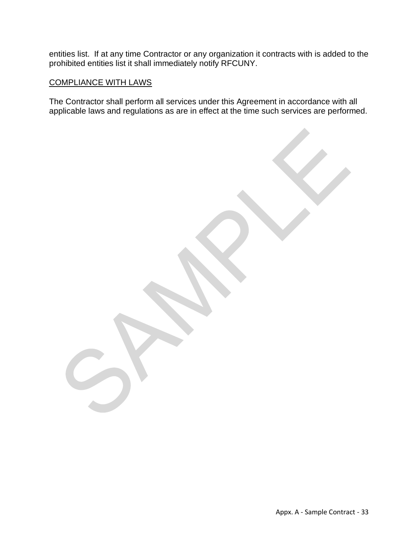entities list. If at any time Contractor or any organization it contracts with is added to the prohibited entities list it shall immediately notify RFCUNY.

### COMPLIANCE WITH LAWS

The Contractor shall perform all services under this Agreement in accordance with all applicable laws and regulations as are in effect at the time such services are performed.